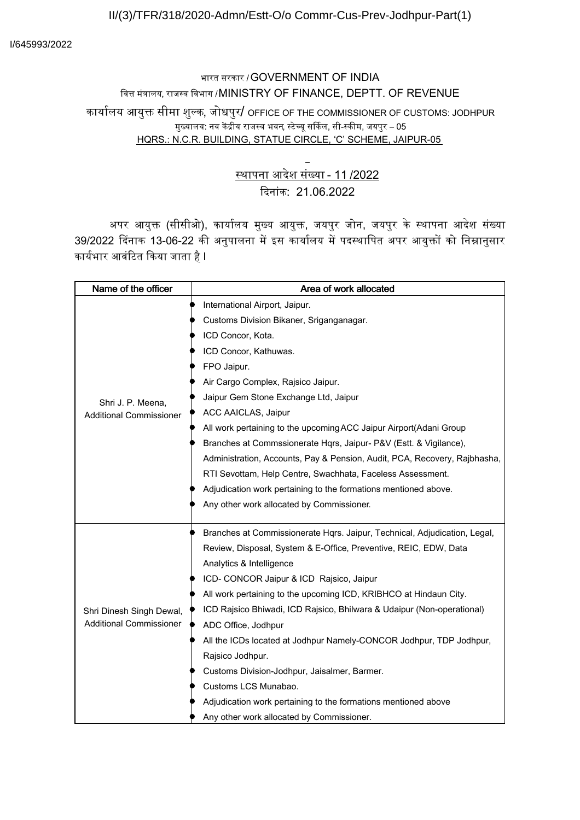#### II/(3)/TFR/318/2020-Admn/Estt-O/o Commr-Cus-Prev-Jodhpur-Part(1)

# भारत सरकार /GOVERNMENT OF INDIA वित्त मंत्रालय, राजस्व विभाग /MINISTRY OF FINANCE, DEPTT. OF REVENUE कार्यालय आयुक्त सीमा शुल्क, जोधपुर/ OFFICE OF THE COMMISSIONER OF CUSTOMS: JODHPUR

### ्ज्ञालय: नव केंद्रीय राजस्व भवन, स्टेच्यू सर्किल, सी-स्कीम, जयपुर – 05

HQRS.: N.C.R. BUILDING, STATUE CIRCLE, 'C' SCHEME, JAIPUR-05

## थापना आदशे सं4या - 11 /2022 Kदनांक: 21.06.2022

अपर आयुक्त (सीसीओ), कार्यालय मुख्य आयुक्त, जयपुर जोन, जयपुर के स्थापना आदेश संख्या 39/2022 दिनाक 13-06-22 की अनुपालना में इस कार्यालय में पदस्थापित अपर आयुक्तों को निम्नानुसार कार्यभार आवंटित किया जाता है l

| Name of the officer                                        | Area of work allocated                                                    |
|------------------------------------------------------------|---------------------------------------------------------------------------|
| Shri J. P. Meena,<br><b>Additional Commissioner</b>        | International Airport, Jaipur.                                            |
|                                                            | Customs Division Bikaner, Sriganganagar.                                  |
|                                                            | ICD Concor, Kota.                                                         |
|                                                            | ICD Concor, Kathuwas.                                                     |
|                                                            | FPO Jaipur.                                                               |
|                                                            | Air Cargo Complex, Rajsico Jaipur.                                        |
|                                                            | Jaipur Gem Stone Exchange Ltd, Jaipur                                     |
|                                                            | ACC AAICLAS, Jaipur                                                       |
|                                                            | All work pertaining to the upcoming ACC Jaipur Airport (Adani Group       |
|                                                            | Branches at Commssionerate Hqrs, Jaipur- P&V (Estt. & Vigilance),         |
|                                                            | Administration, Accounts, Pay & Pension, Audit, PCA, Recovery, Rajbhasha, |
|                                                            | RTI Sevottam, Help Centre, Swachhata, Faceless Assessment.                |
|                                                            | Adjudication work pertaining to the formations mentioned above.           |
|                                                            | Any other work allocated by Commissioner.                                 |
|                                                            |                                                                           |
| Shri Dinesh Singh Dewal,<br><b>Additional Commissioner</b> | Branches at Commissionerate Hqrs. Jaipur, Technical, Adjudication, Legal, |
|                                                            | Review, Disposal, System & E-Office, Preventive, REIC, EDW, Data          |
|                                                            | Analytics & Intelligence                                                  |
|                                                            | ICD- CONCOR Jaipur & ICD Rajsico, Jaipur                                  |
|                                                            | All work pertaining to the upcoming ICD, KRIBHCO at Hindaun City.         |
|                                                            | ICD Rajsico Bhiwadi, ICD Rajsico, Bhilwara & Udaipur (Non-operational)    |
|                                                            | ADC Office, Jodhpur                                                       |
|                                                            | All the ICDs located at Jodhpur Namely-CONCOR Jodhpur, TDP Jodhpur,       |
|                                                            | Rajsico Jodhpur.                                                          |
|                                                            | Customs Division-Jodhpur, Jaisalmer, Barmer.                              |
|                                                            | Customs LCS Munabao.                                                      |
|                                                            | Adjudication work pertaining to the formations mentioned above            |
|                                                            | Any other work allocated by Commissioner.                                 |